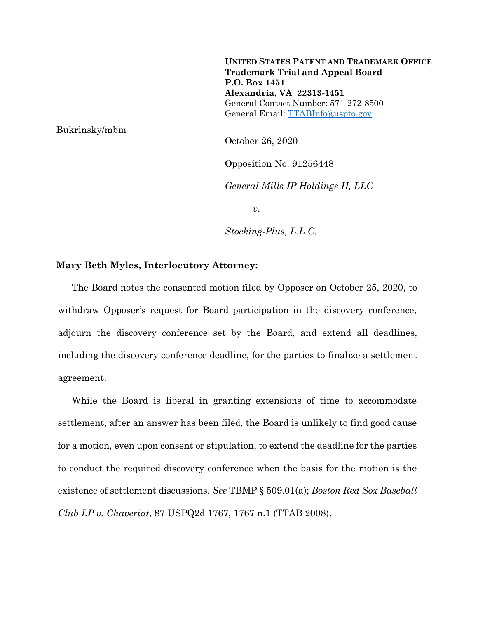**UNITED STATES PATENT AND TRADEMARK OFFICE Trademark Trial and Appeal Board P.O. Box 1451 Alexandria, VA 22313-1451** General Contact Number: 571-272-8500 General Email: [TTABInfo@uspto.gov](mailto:TTABInfo@uspto.gov)

Bukrinsky/mbm

October 26, 2020

Opposition No. 91256448

*General Mills IP Holdings II, LLC*

*v.*

*Stocking-Plus, L.L.C.*

## **Mary Beth Myles, Interlocutory Attorney:**

The Board notes the consented motion filed by Opposer on October 25, 2020, to withdraw Opposer's request for Board participation in the discovery conference, adjourn the discovery conference set by the Board, and extend all deadlines, including the discovery conference deadline, for the parties to finalize a settlement agreement.

While the Board is liberal in granting extensions of time to accommodate settlement, after an answer has been filed, the Board is unlikely to find good cause for a motion, even upon consent or stipulation, to extend the deadline for the parties to conduct the required discovery conference when the basis for the motion is the existence of settlement discussions. *See* TBMP § 509.01(a); *Boston Red Sox Baseball Club LP v. Chaveriat*, 87 USPQ2d 1767, 1767 n.1 (TTAB 2008).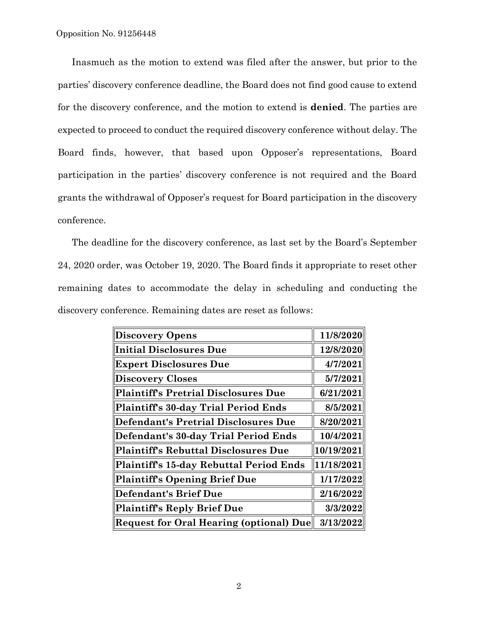Inasmuch as the motion to extend was filed after the answer, but prior to the parties' discovery conference deadline, the Board does not find good cause to extend for the discovery conference, and the motion to extend is **denied**. The parties are expected to proceed to conduct the required discovery conference without delay. The Board finds, however, that based upon Opposer's representations, Board participation in the parties' discovery conference is not required and the Board grants the withdrawal of Opposer's request for Board participation in the discovery conference.

The deadline for the discovery conference, as last set by the Board's September 24, 2020 order, was October 19, 2020. The Board finds it appropriate to reset other remaining dates to accommodate the delay in scheduling and conducting the discovery conference. Remaining dates are reset as follows:

| <b>Discovery Opens</b>                         | 11/8/2020  |
|------------------------------------------------|------------|
| <b>Initial Disclosures Due</b>                 | 12/8/2020  |
| <b>Expert Disclosures Due</b>                  | 4/7/2021   |
| <b>Discovery Closes</b>                        | 5/7/2021   |
| <b>Plaintiff's Pretrial Disclosures Due</b>    | 6/21/2021  |
| Plaintiff's 30-day Trial Period Ends           | 8/5/2021   |
| <b>Defendant's Pretrial Disclosures Due</b>    | 8/20/2021  |
| Defendant's 30-day Trial Period Ends           | 10/4/2021  |
| <b>Plaintiff's Rebuttal Disclosures Due</b>    | 10/19/2021 |
| Plaintiff's 15-day Rebuttal Period Ends        | 11/18/2021 |
| <b>Plaintiff's Opening Brief Due</b>           | 1/17/2022  |
| <b>Defendant's Brief Due</b>                   | 2/16/2022  |
| <b>Plaintiff's Reply Brief Due</b>             | 3/3/2022   |
| <b>Request for Oral Hearing (optional) Due</b> | 3/13/2022  |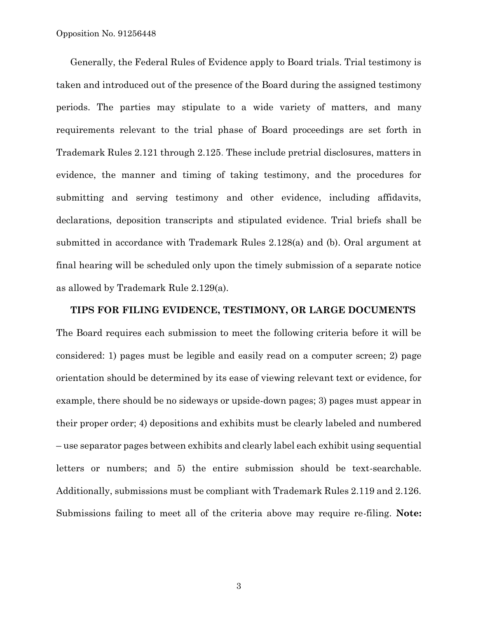Generally, the Federal Rules of Evidence apply to Board trials. Trial testimony is taken and introduced out of the presence of the Board during the assigned testimony periods. The parties may stipulate to a wide variety of matters, and many requirements relevant to the trial phase of Board proceedings are set forth in Trademark Rules 2.121 through 2.125. These include pretrial disclosures, matters in evidence, the manner and timing of taking testimony, and the procedures for submitting and serving testimony and other evidence, including affidavits, declarations, deposition transcripts and stipulated evidence. Trial briefs shall be submitted in accordance with Trademark Rules 2.128(a) and (b). Oral argument at final hearing will be scheduled only upon the timely submission of a separate notice as allowed by Trademark Rule 2.129(a).

## **TIPS FOR FILING EVIDENCE, TESTIMONY, OR LARGE DOCUMENTS**  The Board requires each submission to meet the following criteria before it will be considered: 1) pages must be legible and easily read on a computer screen; 2) page orientation should be determined by its ease of viewing relevant text or evidence, for example, there should be no sideways or upside-down pages; 3) pages must appear in their proper order; 4) depositions and exhibits must be clearly labeled and numbered – use separator pages between exhibits and clearly label each exhibit using sequential letters or numbers; and 5) the entire submission should be text-searchable. Additionally, submissions must be compliant with Trademark Rules 2.119 and 2.126. Submissions failing to meet all of the criteria above may require re-filing. **Note:**